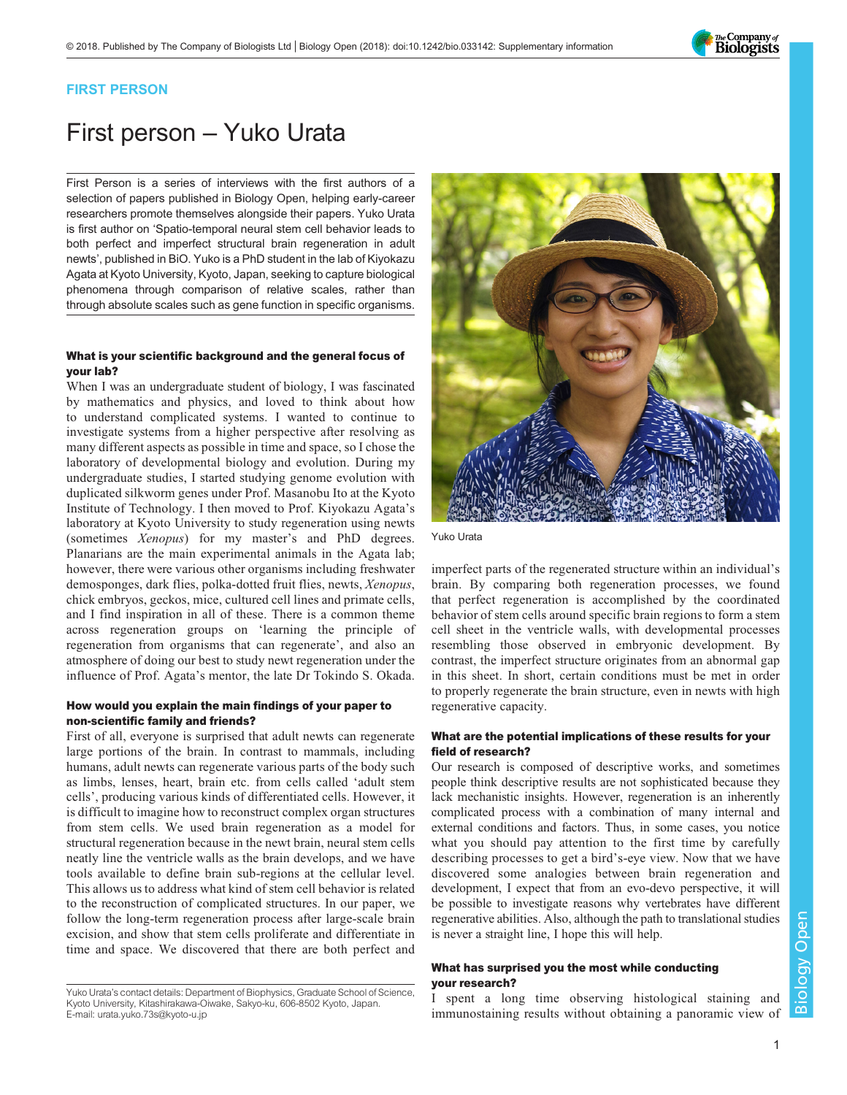

### FIRST PERSON

# First person – Yuko Urata

First Person is a series of interviews with the first authors of a selection of papers published in Biology Open, helping early-career researchers promote themselves alongside their papers. Yuko Urata is first author on '[Spatio-temporal neural stem cell behavior leads to](#page-1-0) [both perfect and imperfect structural brain regeneration in adult](#page-1-0) [newts](#page-1-0)', published in BiO. Yuko is a PhD student in the lab of Kiyokazu Agata at Kyoto University, Kyoto, Japan, seeking to capture biological phenomena through comparison of relative scales, rather than through absolute scales such as gene function in specific organisms.

### What is your scientific background and the general focus of your lab?

When I was an undergraduate student of biology, I was fascinated by mathematics and physics, and loved to think about how to understand complicated systems. I wanted to continue to investigate systems from a higher perspective after resolving as many different aspects as possible in time and space, so I chose the laboratory of developmental biology and evolution. During my undergraduate studies, I started studying genome evolution with duplicated silkworm genes under Prof. Masanobu Ito at the Kyoto Institute of Technology. I then moved to Prof. Kiyokazu Agata's laboratory at Kyoto University to study regeneration using newts (sometimes Xenopus) for my master's and PhD degrees. Planarians are the main experimental animals in the Agata lab; however, there were various other organisms including freshwater demosponges, dark flies, polka-dotted fruit flies, newts, Xenopus, chick embryos, geckos, mice, cultured cell lines and primate cells, and I find inspiration in all of these. There is a common theme across regeneration groups on 'learning the principle of regeneration from organisms that can regenerate', and also an atmosphere of doing our best to study newt regeneration under the influence of Prof. Agata's mentor, the late Dr Tokindo S. Okada.

### How would you explain the main findings of your paper to non-scientific family and friends?

First of all, everyone is surprised that adult newts can regenerate large portions of the brain. In contrast to mammals, including humans, adult newts can regenerate various parts of the body such as limbs, lenses, heart, brain etc. from cells called 'adult stem cells', producing various kinds of differentiated cells. However, it is difficult to imagine how to reconstruct complex organ structures from stem cells. We used brain regeneration as a model for structural regeneration because in the newt brain, neural stem cells neatly line the ventricle walls as the brain develops, and we have tools available to define brain sub-regions at the cellular level. This allows us to address what kind of stem cell behavior is related to the reconstruction of complicated structures. In our paper, we follow the long-term regeneration process after large-scale brain excision, and show that stem cells proliferate and differentiate in time and space. We discovered that there are both perfect and



Yuko Urata

imperfect parts of the regenerated structure within an individual's brain. By comparing both regeneration processes, we found that perfect regeneration is accomplished by the coordinated behavior of stem cells around specific brain regions to form a stem cell sheet in the ventricle walls, with developmental processes resembling those observed in embryonic development. By contrast, the imperfect structure originates from an abnormal gap in this sheet. In short, certain conditions must be met in order to properly regenerate the brain structure, even in newts with high regenerative capacity.

### What are the potential implications of these results for your field of research?

Our research is composed of descriptive works, and sometimes people think descriptive results are not sophisticated because they lack mechanistic insights. However, regeneration is an inherently complicated process with a combination of many internal and external conditions and factors. Thus, in some cases, you notice what you should pay attention to the first time by carefully describing processes to get a bird's-eye view. Now that we have discovered some analogies between brain regeneration and development, I expect that from an evo-devo perspective, it will be possible to investigate reasons why vertebrates have different regenerative abilities. Also, although the path to translational studies is never a straight line, I hope this will help.

### What has surprised you the most while conducting your research?

spent a long time observing histological staining and immunostaining results without obtaining a panoramic view of

Yuko Urata's contact details: Department of Biophysics, Graduate School of Science, Kyoto University, Kitashirakawa-Oiwake, Sakyo-ku, 606-8502 Kyoto, Japan. E-mail: [urata.yuko.73s@kyoto-u.jp](mailto:urata.yuko.73s@kyoto-u.jp)